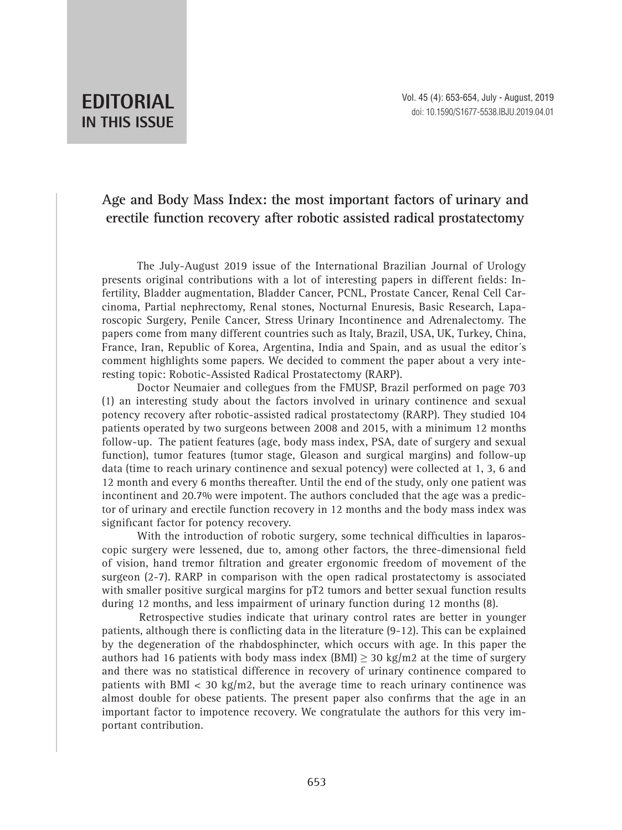## **EDITORIAL IN THIS ISSUE**

## **Age and Body Mass Index: the most important factors of urinary and erectile function recovery after robotic assisted radical prostatectomy**

The July-August 2019 issue of the International Brazilian Journal of Urology presents original contributions with a lot of interesting papers in different fields: Infertility, Bladder augmentation, Bladder Cancer, PCNL, Prostate Cancer, Renal Cell Carcinoma, Partial nephrectomy, Renal stones, Nocturnal Enuresis, Basic Research, Laparoscopic Surgery, Penile Cancer, Stress Urinary Incontinence and Adrenalectomy. The papers come from many different countries such as Italy, Brazil, USA, UK, Turkey, China, France, Iran, Republic of Korea, Argentina, India and Spain, and as usual the editor´s comment highlights some papers. We decided to comment the paper about a very interesting topic: Robotic-Assisted Radical Prostatectomy (RARP).

Doctor Neumaier and collegues from the FMUSP, Brazil performed on page 703 (1) an interesting study about the factors involved in urinary continence and sexual potency recovery after robotic-assisted radical prostatectomy (RARP). They studied 104 patients operated by two surgeons between 2008 and 2015, with a minimum 12 months follow-up. The patient features (age, body mass index, PSA, date of surgery and sexual function), tumor features (tumor stage, Gleason and surgical margins) and follow-up data (time to reach urinary continence and sexual potency) were collected at 1, 3, 6 and 12 month and every 6 months thereafter. Until the end of the study, only one patient was incontinent and 20.7% were impotent. The authors concluded that the age was a predictor of urinary and erectile function recovery in 12 months and the body mass index was significant factor for potency recovery.

With the introduction of robotic surgery, some technical difficulties in laparoscopic surgery were lessened, due to, among other factors, the three-dimensional field of vision, hand tremor filtration and greater ergonomic freedom of movement of the surgeon (2-7). RARP in comparison with the open radical prostatectomy is associated with smaller positive surgical margins for pT2 tumors and better sexual function results during 12 months, and less impairment of urinary function during 12 months (8).

Retrospective studies indicate that urinary control rates are better in younger patients, although there is conflicting data in the literature (9-12). This can be explained by the degeneration of the rhabdosphincter, which occurs with age. In this paper the authors had 16 patients with body mass index (BMI)  $\geq$  30 kg/m2 at the time of surgery and there was no statistical difference in recovery of urinary continence compared to patients with BMI  $<$  30 kg/m2, but the average time to reach urinary continence was almost double for obese patients. The present paper also confirms that the age in an important factor to impotence recovery. We congratulate the authors for this very important contribution.